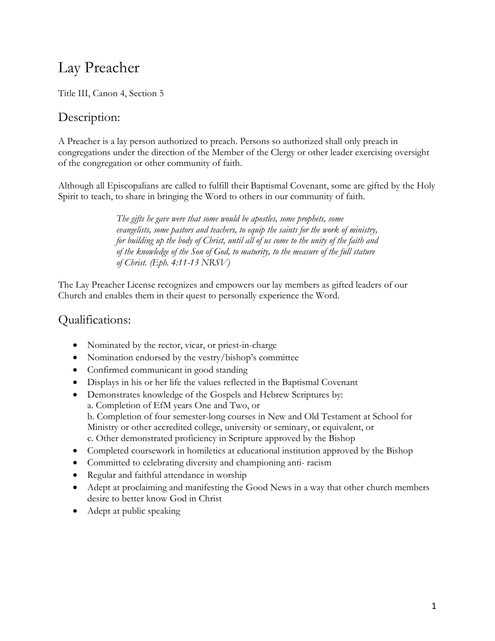# Lay Preacher

Title III, Canon 4, Section 5

## Description:

A Preacher is a lay person authorized to preach. Persons so authorized shall only preach in congregations under the direction of the Member of the Clergy or other leader exercising oversight of the congregation or other community of faith.

Although all Episcopalians are called to fulfill their Baptismal Covenant, some are gifted by the Holy Spirit to teach, to share in bringing the Word to others in our community of faith.

> *The gifts he gave were that some would be apostles, some prophets, some evangelists, some pastors and teachers, to equip the saints for the work of ministry, for building up the body of Christ, until all of us come to the unity of the faith and of the knowledge of the Son of God, to maturity, to the measure of the full stature of Christ. (Eph. 4:11-13 NRSV)*

The Lay Preacher License recognizes and empowers our lay members as gifted leaders of our Church and enables them in their quest to personally experience the Word.

#### Qualifications:

- Nominated by the rector, vicar, or priest-in-charge
- Nomination endorsed by the vestry/bishop's committee
- Confirmed communicant in good standing
- Displays in his or her life the values reflected in the Baptismal Covenant
- Demonstrates knowledge of the Gospels and Hebrew Scriptures by: a. Completion of EfM years One and Two, or b. Completion of four semester-long courses in New and Old Testament at School for Ministry or other accredited college, university or seminary, or equivalent, or c. Other demonstrated proficiency in Scripture approved by the Bishop
- Completed coursework in homiletics at educational institution approved by the Bishop
- Committed to celebrating diversity and championing anti- racism
- Regular and faithful attendance in worship
- Adept at proclaiming and manifesting the Good News in a way that other church members desire to better know God in Christ
- Adept at public speaking